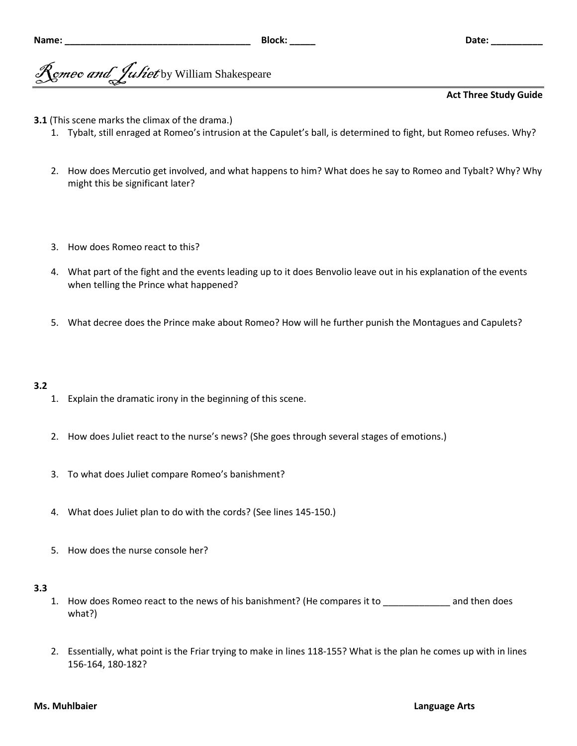gmeo and *Juliet* by William Shakespeare

# **Act Three Study Guide**

- **3.1** (This scene marks the climax of the drama.)
	- 1. Tybalt, still enraged at Romeo's intrusion at the Capulet's ball, is determined to fight, but Romeo refuses. Why?
	- 2. How does Mercutio get involved, and what happens to him? What does he say to Romeo and Tybalt? Why? Why might this be significant later?
	- 3. How does Romeo react to this?
	- 4. What part of the fight and the events leading up to it does Benvolio leave out in his explanation of the events when telling the Prince what happened?
	- 5. What decree does the Prince make about Romeo? How will he further punish the Montagues and Capulets?

### **3.2**

- 1. Explain the dramatic irony in the beginning of this scene.
- 2. How does Juliet react to the nurse's news? (She goes through several stages of emotions.)
- 3. To what does Juliet compare Romeo's banishment?
- 4. What does Juliet plan to do with the cords? (See lines 145-150.)
- 5. How does the nurse console her?

#### **3.3**

- 1. How does Romeo react to the news of his banishment? (He compares it to and then does what?)
- 2. Essentially, what point is the Friar trying to make in lines 118-155? What is the plan he comes up with in lines 156-164, 180-182?